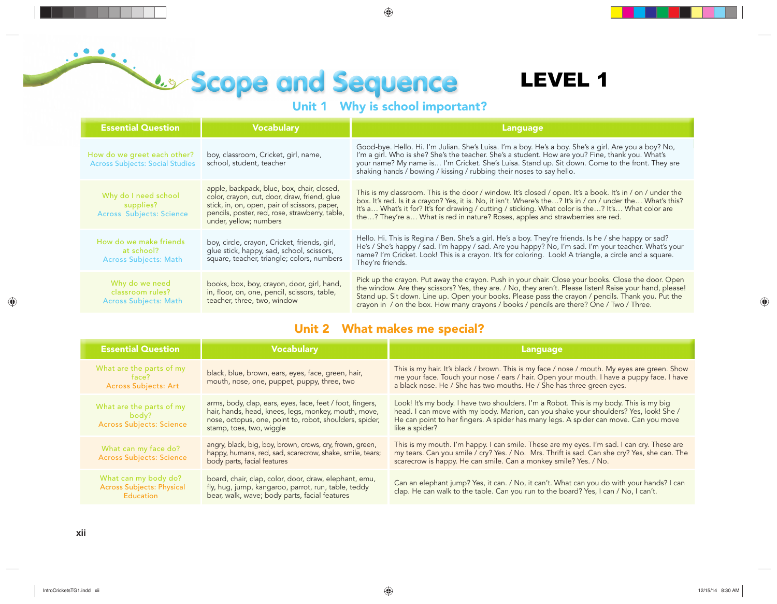# **Unit 1 Why is school important?**

## LEVEL 1

| <b>Essential Question</b>                                             | <b>Vocabulary</b>                                                                                                                                                                                                       | Language                                                                                                                                                                                                                                                                                                                                                                                                          |
|-----------------------------------------------------------------------|-------------------------------------------------------------------------------------------------------------------------------------------------------------------------------------------------------------------------|-------------------------------------------------------------------------------------------------------------------------------------------------------------------------------------------------------------------------------------------------------------------------------------------------------------------------------------------------------------------------------------------------------------------|
| How do we greet each other?<br><b>Across Subjects: Social Studies</b> | boy, classroom, Cricket, girl, name,<br>school, student, teacher                                                                                                                                                        | Good-bye. Hello. Hi. I'm Julian. She's Luisa. I'm a boy. He's a boy. She's a girl. Are you a boy? No,<br>I'm a girl. Who is she? She's the teacher. She's a student. How are you? Fine, thank you. What's<br>your name? My name is I'm Cricket. She's Luisa. Stand up. Sit down. Come to the front. They are<br>shaking hands / bowing / kissing / rubbing their noses to say hello.                              |
| Why do I need school<br>supplies?<br><b>Across Subjects: Science</b>  | apple, backpack, blue, box, chair, closed,<br>color, crayon, cut, door, draw, friend, glue<br>stick, in, on, open, pair of scissors, paper,<br>pencils, poster, red, rose, strawberry, table,<br>under, yellow; numbers | This is my classroom. This is the door / window. It's closed / open. It's a book. It's in / on / under the<br>box. It's red. Is it a crayon? Yes, it is. No, it isn't. Where's the? It's in / on / under the What's this?<br>It's a What's it for? It's for drawing / cutting / sticking. What color is the? It's What color are<br>the? They're a What is red in nature? Roses, apples and strawberries are red. |
| How do we make friends<br>at school?<br><b>Across Subjects: Math</b>  | boy, circle, crayon, Cricket, friends, girl,<br>glue stick, happy, sad, school, scissors,<br>square, teacher, triangle; colors, numbers                                                                                 | Hello. Hi. This is Regina / Ben. She's a girl. He's a boy. They're friends. Is he / she happy or sad?<br>He's / She's happy / sad. I'm happy / sad. Are you happy? No, I'm sad. I'm your teacher. What's your<br>name? I'm Cricket. Look! This is a crayon. It's for coloring. Look! A triangle, a circle and a square.<br>They're friends.                                                                       |
| Why do we need<br>classroom rules?<br><b>Across Subjects: Math</b>    | books, box, boy, crayon, door, girl, hand,<br>in, floor, on, one, pencil, scissors, table,<br>teacher, three, two, window                                                                                               | Pick up the crayon. Put away the crayon. Push in your chair. Close your books. Close the door. Open<br>the window. Are they scissors? Yes, they are. / No, they aren't. Please listen! Raise your hand, please!<br>Stand up. Sit down. Line up. Open your books. Please pass the crayon / pencils. Thank you. Put the<br>crayon in / on the box. How many crayons / books / pencils are there? One / Two / Three. |

#### **Unit 2 What makes me special?**

| <b>Essential Question</b>                                             | <b>Vocabulary</b>                                                                                                                                                                                        | Language                                                                                                                                                                                                                                                                                  |
|-----------------------------------------------------------------------|----------------------------------------------------------------------------------------------------------------------------------------------------------------------------------------------------------|-------------------------------------------------------------------------------------------------------------------------------------------------------------------------------------------------------------------------------------------------------------------------------------------|
| What are the parts of my<br><b>Across Subjects: Art</b>               | black, blue, brown, ears, eyes, face, green, hair,<br>mouth, nose, one, puppet, puppy, three, two                                                                                                        | This is my hair. It's black / brown. This is my face / nose / mouth. My eyes are green. Show<br>me your face. Touch your nose / ears / hair. Open your mouth. I have a puppy face. I have<br>a black nose. He / She has two mouths. He / She has three green eyes.                        |
| What are the parts of my<br>body?<br><b>Across Subjects: Science</b>  | arms, body, clap, ears, eyes, face, feet / foot, fingers,<br>hair, hands, head, knees, legs, monkey, mouth, move,<br>nose, octopus, one, point to, robot, shoulders, spider,<br>stamp, toes, two, wiggle | Look! It's my body. I have two shoulders. I'm a Robot. This is my body. This is my big<br>head. I can move with my body. Marion, can you shake your shoulders? Yes, look! She /<br>He can point to her fingers. A spider has many legs. A spider can move. Can you move<br>like a spider? |
| What can my face do?<br><b>Across Subjects: Science</b>               | angry, black, big, boy, brown, crows, cry, frown, green,<br>happy, humans, red, sad, scarecrow, shake, smile, tears;<br>body parts, facial features                                                      | This is my mouth. I'm happy. I can smile. These are my eyes. I'm sad. I can cry. These are<br>my tears. Can you smile / cry? Yes. / No. Mrs. Thrift is sad. Can she cry? Yes, she can. The<br>scarecrow is happy. He can smile. Can a monkey smile? Yes. / No.                            |
| What can my body do?<br><b>Across Subjects: Physical</b><br>Education | board, chair, clap, color, door, draw, elephant, emu,<br>fly, hug, jump, kangaroo, parrot, run, table, teddy<br>bear, walk, wave; body parts, facial features                                            | Can an elephant jump? Yes, it can. / No, it can't. What can you do with your hands? I can<br>clap. He can walk to the table. Can you run to the board? Yes, I can / No, I can't.                                                                                                          |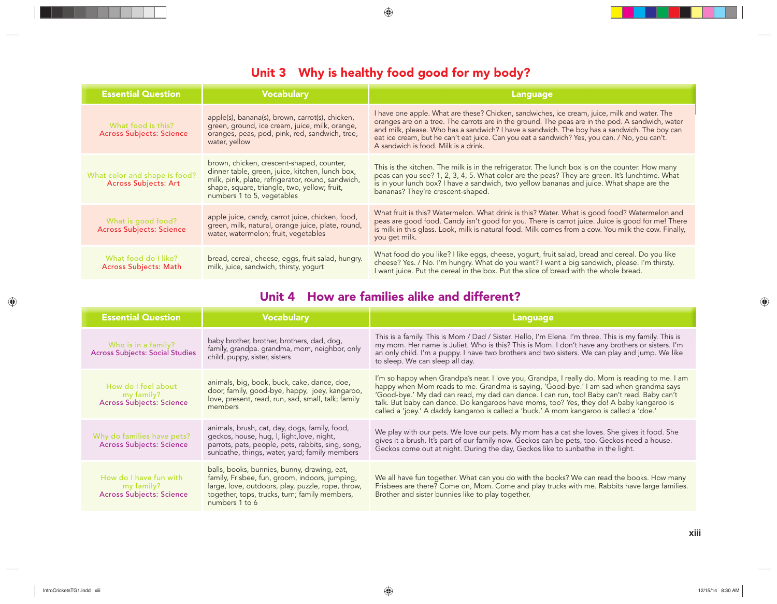### **Unit 3 Why is healthy food good for my body?**

| <b>Essential Question</b>                                    | <b>Vocabulary</b>                                                                                                                                                                                                               | Language                                                                                                                                                                                                                                                                                                                                                                                                                                  |
|--------------------------------------------------------------|---------------------------------------------------------------------------------------------------------------------------------------------------------------------------------------------------------------------------------|-------------------------------------------------------------------------------------------------------------------------------------------------------------------------------------------------------------------------------------------------------------------------------------------------------------------------------------------------------------------------------------------------------------------------------------------|
| What food is this?<br><b>Across Subjects: Science</b>        | apple(s), banana(s), brown, carrot(s), chicken,<br>green, ground, ice cream, juice, milk, orange,<br>oranges, peas, pod, pink, red, sandwich, tree,<br>water, yellow                                                            | I have one apple. What are these? Chicken, sandwiches, ice cream, juice, milk and water. The<br>oranges are on a tree. The carrots are in the ground. The peas are in the pod. A sandwich, water<br>and milk, please. Who has a sandwich? I have a sandwich. The boy has a sandwich. The boy can<br>eat ice cream, but he can't eat juice. Can you eat a sandwich? Yes, you can. / No, you can't.<br>A sandwich is food. Milk is a drink. |
| What color and shape is food?<br><b>Across Subjects: Art</b> | brown, chicken, crescent-shaped, counter,<br>dinner table, green, juice, kitchen, lunch box,<br>milk, pink, plate, refrigerator, round, sandwich,<br>shape, square, triangle, two, yellow; fruit,<br>numbers 1 to 5, vegetables | This is the kitchen. The milk is in the refrigerator. The lunch box is on the counter. How many<br>peas can you see? 1, 2, 3, 4, 5. What color are the peas? They are green. It's lunchtime. What<br>is in your lunch box? I have a sandwich, two yellow bananas and juice. What shape are the<br>bananas? They're crescent-shaped.                                                                                                       |
| What is good food?<br><b>Across Subjects: Science</b>        | apple juice, candy, carrot juice, chicken, food,<br>green, milk, natural, orange juice, plate, round,<br>water, watermelon; fruit, vegetables                                                                                   | What fruit is this? Watermelon. What drink is this? Water. What is good food? Watermelon and<br>peas are good food. Candy isn't good for you. There is carrot juice. Juice is good for me! There<br>is milk in this glass. Look, milk is natural food. Milk comes from a cow. You milk the cow. Finally,<br>you get milk.                                                                                                                 |
| What food do I like?<br>Across Subjects: Math                | bread, cereal, cheese, eggs, fruit salad, hungry.<br>milk, juice, sandwich, thirsty, yogurt                                                                                                                                     | What food do you like? I like eggs, cheese, yogurt, fruit salad, bread and cereal. Do you like<br>cheese? Yes. / No. I'm hungry. What do you want? I want a big sandwich, please. I'm thirsty.<br>I want juice. Put the cereal in the box. Put the slice of bread with the whole bread.                                                                                                                                                   |

#### **Unit 4 How are families alike and different?**

| <b>Essential Question</b>                                               | <b>Vocabulary</b>                                                                                                                                                                                                     | <b>Language</b>                                                                                                                                                                                                                                                                                                                                                                                                                                                             |
|-------------------------------------------------------------------------|-----------------------------------------------------------------------------------------------------------------------------------------------------------------------------------------------------------------------|-----------------------------------------------------------------------------------------------------------------------------------------------------------------------------------------------------------------------------------------------------------------------------------------------------------------------------------------------------------------------------------------------------------------------------------------------------------------------------|
| Who is in a family?<br><b>Across Subjects: Social Studies</b>           | baby brother, brother, brothers, dad, dog,<br>family, grandpa. grandma, mom, neighbor, only<br>child, puppy, sister, sisters                                                                                          | This is a family. This is Mom / Dad / Sister. Hello, I'm Elena. I'm three. This is my family. This is<br>my mom. Her name is Juliet. Who is this? This is Mom. I don't have any brothers or sisters. I'm<br>an only child. I'm a puppy. I have two brothers and two sisters. We can play and jump. We like<br>to sleep. We can sleep all day.                                                                                                                               |
| How do I feel about<br>my family?<br><b>Across Subjects: Science</b>    | animals, big, book, buck, cake, dance, doe,<br>door, family, good-bye, happy, joey, kangaroo,<br>love, present, read, run, sad, small, talk; family<br>members                                                        | I'm so happy when Grandpa's near. I love you, Grandpa, I really do. Mom is reading to me. I am<br>happy when Mom reads to me. Grandma is saying, 'Good-bye.' I am sad when grandma says<br>'Good-bye.' My dad can read, my dad can dance. I can run, too! Baby can't read. Baby can't<br>talk. But baby can dance. Do kangaroos have moms, too? Yes, they do! A baby kangaroo is<br>called a 'joey.' A daddy kangaroo is called a 'buck.' A mom kangaroo is called a 'doe.' |
| Why do families have pets?<br><b>Across Subjects: Science</b>           | animals, brush, cat, day, dogs, family, food,<br>geckos, house, hug, I, light, love, night,<br>parrots, pats, people, pets, rabbits, sing, song,<br>sunbathe, things, water, yard; family members                     | We play with our pets. We love our pets. My mom has a cat she loves. She gives it food. She<br>gives it a brush. It's part of our family now. Geckos can be pets, too. Geckos need a house.<br>Geckos come out at night. During the day, Geckos like to sunbathe in the light.                                                                                                                                                                                              |
| How do I have fun with<br>my family?<br><b>Across Subjects: Science</b> | balls, books, bunnies, bunny, drawing, eat,<br>family, Frisbee, fun, groom, indoors, jumping,<br>large, love, outdoors, play, puzzle, rope, throw,<br>together, tops, trucks, turn; family members,<br>numbers 1 to 6 | We all have fun together. What can you do with the books? We can read the books. How many<br>Frisbees are there? Come on, Mom. Come and play trucks with me. Rabbits have large families.<br>Brother and sister bunnies like to play together.                                                                                                                                                                                                                              |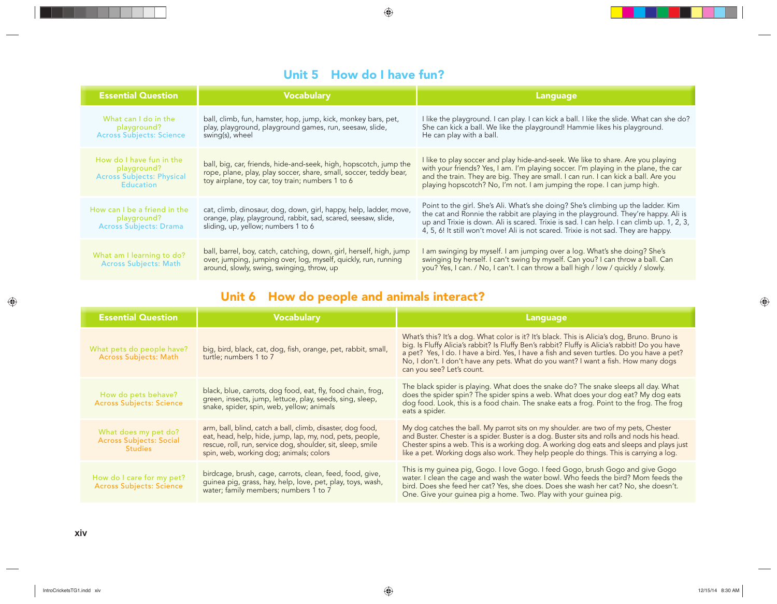#### **Unit 5 How do I have fun?**

| <b>Essential Question</b>                                                                       | <b>Vocabulary</b>                                                                                                                                                                          | Language                                                                                                                                                                                                                                                                                                                                                    |
|-------------------------------------------------------------------------------------------------|--------------------------------------------------------------------------------------------------------------------------------------------------------------------------------------------|-------------------------------------------------------------------------------------------------------------------------------------------------------------------------------------------------------------------------------------------------------------------------------------------------------------------------------------------------------------|
| What can I do in the<br>playground?<br><b>Across Subjects: Science</b>                          | ball, climb, fun, hamster, hop, jump, kick, monkey bars, pet,<br>play, playground, playground games, run, seesaw, slide,<br>swing(s), wheel                                                | I like the playground. I can play. I can kick a ball. I like the slide. What can she do?<br>She can kick a ball. We like the playground! Hammie likes his playground.<br>He can play with a ball.                                                                                                                                                           |
| How do I have fun in the<br>playground?<br><b>Across Subjects: Physical</b><br><b>Education</b> | ball, big, car, friends, hide-and-seek, high, hopscotch, jump the<br>rope, plane, play, play soccer, share, small, soccer, teddy bear,<br>toy airplane, toy car, toy train; numbers 1 to 6 | I like to play soccer and play hide-and-seek. We like to share. Are you playing<br>with your friends? Yes, I am. I'm playing soccer. I'm playing in the plane, the car<br>and the train. They are big. They are small. I can run. I can kick a ball. Are you<br>playing hopscotch? No, I'm not. I am jumping the rope. I can jump high.                     |
| How can I be a friend in the<br>playground?<br><b>Across Subjects: Drama</b>                    | cat, climb, dinosaur, dog, down, girl, happy, help, ladder, move,<br>orange, play, playground, rabbit, sad, scared, seesaw, slide,<br>sliding, up, yellow; numbers 1 to 6                  | Point to the girl. She's Ali. What's she doing? She's climbing up the ladder. Kim<br>the cat and Ronnie the rabbit are playing in the playground. They're happy. Ali is<br>up and Trixie is down. Ali is scared. Trixie is sad. I can help. I can climb up. 1, 2, 3,<br>4, 5, 6! It still won't move! Ali is not scared. Trixie is not sad. They are happy. |
| What am I learning to do?<br><b>Across Subjects: Math</b>                                       | ball, barrel, boy, catch, catching, down, girl, herself, high, jump<br>over, jumping, jumping over, log, myself, quickly, run, running<br>around, slowly, swing, swinging, throw, up       | I am swinging by myself. I am jumping over a log. What's she doing? She's<br>swinging by herself. I can't swing by myself. Can you? I can throw a ball. Can<br>you? Yes, I can. / No, I can't. I can throw a ball high / low / quickly / slowly.                                                                                                            |

### **Unit 6 How do people and animals interact?**

| <b>Essential Question</b>                                                | <b>Vocabulary</b>                                                                                                                                                                                                                | <b>Language</b>                                                                                                                                                                                                                                                                                                                                                                                                |
|--------------------------------------------------------------------------|----------------------------------------------------------------------------------------------------------------------------------------------------------------------------------------------------------------------------------|----------------------------------------------------------------------------------------------------------------------------------------------------------------------------------------------------------------------------------------------------------------------------------------------------------------------------------------------------------------------------------------------------------------|
| What pets do people have?<br><b>Across Subjects: Math</b>                | big, bird, black, cat, dog, fish, orange, pet, rabbit, small,<br>turtle; numbers 1 to 7                                                                                                                                          | What's this? It's a dog. What color is it? It's black. This is Alicia's dog, Bruno. Bruno is<br>big. Is Fluffy Alicia's rabbit? Is Fluffy Ben's rabbit? Fluffy is Alicia's rabbit! Do you have<br>a pet? Yes, I do. I have a bird. Yes, I have a fish and seven turtles. Do you have a pet?<br>No, I don't. I don't have any pets. What do you want? I want a fish. How many dogs<br>can you see? Let's count. |
| How do pets behave?<br><b>Across Subjects: Science</b>                   | black, blue, carrots, dog food, eat, fly, food chain, frog,<br>green, insects, jump, lettuce, play, seeds, sing, sleep,<br>snake, spider, spin, web, yellow; animals                                                             | The black spider is playing. What does the snake do? The snake sleeps all day. What<br>does the spider spin? The spider spins a web. What does your dog eat? My dog eats<br>dog food. Look, this is a food chain. The snake eats a frog. Point to the frog. The frog<br>eats a spider.                                                                                                                         |
| What does my pet do?<br><b>Across Subjects: Social</b><br><b>Studies</b> | arm, ball, blind, catch a ball, climb, disaster, dog food,<br>eat, head, help, hide, jump, lap, my, nod, pets, people,<br>rescue, roll, run, service dog, shoulder, sit, sleep, smile<br>spin, web, working dog; animals; colors | My dog catches the ball. My parrot sits on my shoulder, are two of my pets, Chester<br>and Buster. Chester is a spider. Buster is a dog. Buster sits and rolls and nods his head.<br>Chester spins a web. This is a working dog. A working dog eats and sleeps and plays just<br>like a pet. Working dogs also work. They help people do things. This is carrying a log.                                       |
| How do I care for my pet?<br><b>Across Subjects: Science</b>             | birdcage, brush, cage, carrots, clean, feed, food, give,<br>guinea pig, grass, hay, help, love, pet, play, toys, wash,<br>water; family members; numbers 1 to 7                                                                  | This is my guinea pig, Gogo. I love Gogo. I feed Gogo, brush Gogo and give Gogo<br>water. I clean the cage and wash the water bowl. Who feeds the bird? Mom feeds the<br>bird. Does she feed her cat? Yes, she does. Does she wash her cat? No, she doesn't.<br>One. Give your guinea pig a home. Two. Play with your guinea pig.                                                                              |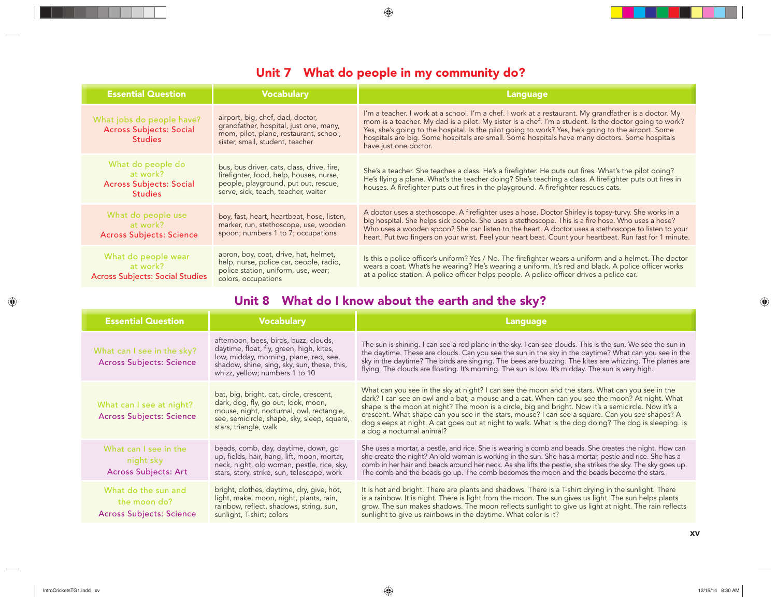#### **Unit 7 What do people in my community do?**

| <b>Essential Question</b>                                                         | <b>Vocabulary</b>                                                                                                                                                    | <b>Language</b>                                                                                                                                                                                                                                                                                                                                                                                                                                |
|-----------------------------------------------------------------------------------|----------------------------------------------------------------------------------------------------------------------------------------------------------------------|------------------------------------------------------------------------------------------------------------------------------------------------------------------------------------------------------------------------------------------------------------------------------------------------------------------------------------------------------------------------------------------------------------------------------------------------|
| What jobs do people have?<br><b>Across Subjects: Social</b><br><b>Studies</b>     | airport, big, chef, dad, doctor,<br>grandfather, hospital, just one, many,<br>mom, pilot, plane, restaurant, school,<br>sister, small, student, teacher              | I'm a teacher. I work at a school. I'm a chef. I work at a restaurant. My grandfather is a doctor. My<br>mom is a teacher. My dad is a pilot. My sister is a chef. I'm a student. Is the doctor going to work?<br>Yes, she's going to the hospital. Is the pilot going to work? Yes, he's going to the airport. Some<br>hospitals are big. Some hospitals are small. Some hospitals have many doctors. Some hospitals<br>have just one doctor. |
| What do people do<br>at work?<br><b>Across Subjects: Social</b><br><b>Studies</b> | bus, bus driver, cats, class, drive, fire,<br>firefighter, food, help, houses, nurse,<br>people, playground, put out, rescue,<br>serve, sick, teach, teacher, waiter | She's a teacher. She teaches a class. He's a firefighter. He puts out fires. What's the pilot doing?<br>He's flying a plane. What's the teacher doing? She's teaching a class. A firefighter puts out fires in<br>houses. A firefighter puts out fires in the playground. A firefighter rescues cats.                                                                                                                                          |
| What do people use<br>at work? The control<br><b>Across Subjects: Science</b>     | boy, fast, heart, heartbeat, hose, listen,<br>marker, run, stethoscope, use, wooden<br>spoon; numbers 1 to 7; occupations                                            | A doctor uses a stethoscope. A firefighter uses a hose. Doctor Shirley is topsy-turvy. She works in a<br>big hospital. She helps sick people. She uses a stethoscope. This is a fire hose. Who uses a hose?<br>Who uses a wooden spoon? She can listen to the heart. A doctor uses a stethoscope to listen to your<br>heart. Put two fingers on your wrist. Feel your heart beat. Count your heartbeat. Run fast for 1 minute.                 |
| What do people wear<br>at work?<br><b>Across Subjects: Social Studies</b>         | apron, boy, coat, drive, hat, helmet,<br>help, nurse, police car, people, radio,<br>police station, uniform, use, wear;<br>colors, occupations                       | Is this a police officer's uniform? Yes / No. The firefighter wears a uniform and a helmet. The doctor<br>wears a coat. What's he wearing? He's wearing a uniform. It's red and black. A police officer works<br>at a police station. A police officer helps people. A police officer drives a police car.                                                                                                                                     |

#### **Unit 8 What do I know about the earth and the sky?**

| <b>Essential Question</b>                                              | <b>Vocabulary</b>                                                                                                                                                                                            | Language                                                                                                                                                                                                                                                                                                                                                                                                                                                                                                                                         |
|------------------------------------------------------------------------|--------------------------------------------------------------------------------------------------------------------------------------------------------------------------------------------------------------|--------------------------------------------------------------------------------------------------------------------------------------------------------------------------------------------------------------------------------------------------------------------------------------------------------------------------------------------------------------------------------------------------------------------------------------------------------------------------------------------------------------------------------------------------|
| What can I see in the sky?<br>Across Subjects: Science                 | afternoon, bees, birds, buzz, clouds,<br>daytime, float, fly, green, high, kites,<br>low, midday, morning, plane, red, see,<br>shadow, shine, sing, sky, sun, these, this,<br>whizz, yellow; numbers 1 to 10 | The sun is shining. I can see a red plane in the sky. I can see clouds. This is the sun. We see the sun in<br>the daytime. These are clouds. Can you see the sun in the sky in the daytime? What can you see in the<br>sky in the daytime? The birds are singing. The bees are buzzing. The kites are whizzing. The planes are<br>flying. The clouds are floating. It's morning. The sun is low. It's midday. The sun is very high.                                                                                                              |
| What can I see at night?<br><b>Across Subjects: Science</b>            | bat, big, bright, cat, circle, crescent,<br>dark, dog, fly, go out, look, moon,<br>mouse, night, nocturnal, owl, rectangle,<br>see, semicircle, shape, sky, sleep, square,<br>stars, triangle, walk          | What can you see in the sky at night? I can see the moon and the stars. What can you see in the<br>dark? I can see an owl and a bat, a mouse and a cat. When can you see the moon? At night. What<br>shape is the moon at night? The moon is a circle, big and bright. Now it's a semicircle. Now it's a<br>crescent. What shape can you see in the stars, mouse? I can see a square. Can you see shapes? A<br>dog sleeps at night. A cat goes out at night to walk. What is the dog doing? The dog is sleeping. Is<br>a dog a nocturnal animal? |
| What can I see in the<br>night sky<br><b>Across Subjects: Art</b>      | beads, comb, day, daytime, down, go<br>up, fields, hair, hang, lift, moon, mortar,<br>neck, night, old woman, pestle, rice, sky,<br>stars, story, strike, sun, telescope, work                               | She uses a mortar, a pestle, and rice. She is wearing a comb and beads. She creates the night. How can<br>she create the night? An old woman is working in the sun. She has a mortar, pestle and rice. She has a<br>comb in her hair and beads around her neck. As she lifts the pestle, she strikes the sky. The sky goes up.<br>The comb and the beads go up. The comb becomes the moon and the beads become the stars.                                                                                                                        |
| What do the sun and<br>the moon do?<br><b>Across Subjects: Science</b> | bright, clothes, daytime, dry, give, hot,<br>light, make, moon, night, plants, rain,<br>rainbow, reflect, shadows, string, sun,<br>sunlight, T-shirt; colors                                                 | It is hot and bright. There are plants and shadows. There is a T-shirt drying in the sunlight. There<br>is a rainbow. It is night. There is light from the moon. The sun gives us light. The sun helps plants<br>grow. The sun makes shadows. The moon reflects sunlight to give us light at night. The rain reflects<br>sunlight to give us rainbows in the daytime. What color is it?                                                                                                                                                          |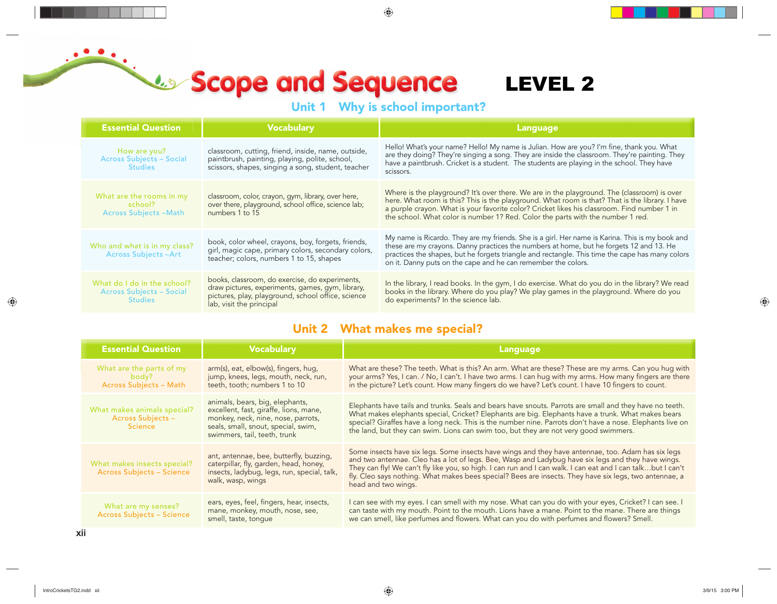**Unit 1 Why is school important?** 

| <b>Essential Question</b>                                                        | <b>Vocabulary</b>                                                                                                                                                                      |                                                                                                                                                                                                                                                                                                                                                                                                                                                          | <b>Language</b>                                                                                                                                                                                                                                                                                                                                                                  |
|----------------------------------------------------------------------------------|----------------------------------------------------------------------------------------------------------------------------------------------------------------------------------------|----------------------------------------------------------------------------------------------------------------------------------------------------------------------------------------------------------------------------------------------------------------------------------------------------------------------------------------------------------------------------------------------------------------------------------------------------------|----------------------------------------------------------------------------------------------------------------------------------------------------------------------------------------------------------------------------------------------------------------------------------------------------------------------------------------------------------------------------------|
| How are you?<br><b>Across Subjects - Social</b><br><b>Studies</b>                | classroom, cutting, friend, inside, name, outside,<br>paintbrush, painting, playing, polite, school,<br>scissors, shapes, singing a song, student, teacher                             |                                                                                                                                                                                                                                                                                                                                                                                                                                                          | Hello! What's your name? Hello! My name is Julian. How are you? I'm fine, thank you. What<br>are they doing? They're singing a song. They are inside the classroom. They're painting. They<br>have a paintbrush. Cricket is a student. The students are playing in the school. They have<br>scissors.                                                                            |
| What are the rooms in my<br>school?<br><b>Across Subjects-Math</b>               | classroom, color, crayon, gym, library, over here,<br>over there, playground, school office, science lab;<br>numbers 1 to 15                                                           |                                                                                                                                                                                                                                                                                                                                                                                                                                                          | Where is the playground? It's over there. We are in the playground. The (classroom) is over<br>here. What room is this? This is the playground. What room is that? That is the library. I have<br>a purple crayon. What is your favorite color? Cricket likes his classroom. Find number 1 in<br>the school. What color is number 1? Red. Color the parts with the number 1 red. |
| Who and what is in my class?<br>Across Subjects-Art                              | book, color wheel, crayons, boy, forgets, friends,<br>girl, magic cape, primary colors, secondary colors,<br>teacher, colors, numbers 1 to 15, shapes                                  |                                                                                                                                                                                                                                                                                                                                                                                                                                                          | My name is Ricardo. They are my friends. She is a girl. Her name is Karina. This is my book and<br>these are my crayons. Danny practices the numbers at home, but he forgets 12 and 13. He<br>practices the shapes, but he forgets triangle and rectangle. This time the cape has many colors<br>on it. Danny puts on the cape and he can remember the colors.                   |
| What do I do in the school?<br><b>Across Subjects - Social</b><br><b>Studies</b> | books, classroom, do exercise, do experiments,<br>draw pictures, experiments, games, gym, library,<br>pictures, play, playground, school office, science<br>lab, visit the principal   |                                                                                                                                                                                                                                                                                                                                                                                                                                                          | In the library, I read books. In the gym, I do exercise. What do you do in the library? We read<br>books in the library. Where do you play? We play games in the playground. Where do you<br>do experiments? In the science lab.                                                                                                                                                 |
|                                                                                  |                                                                                                                                                                                        |                                                                                                                                                                                                                                                                                                                                                                                                                                                          | Unit 2 What makes me special?                                                                                                                                                                                                                                                                                                                                                    |
| <b>Essential Question</b>                                                        | <b>Vocabulary</b>                                                                                                                                                                      |                                                                                                                                                                                                                                                                                                                                                                                                                                                          | <b>Language</b>                                                                                                                                                                                                                                                                                                                                                                  |
| What are the parts of my<br>body?<br>Across Subjects - Math                      | arm(s), eat, elbow(s), fingers, hug,<br>jump, knees, legs, mouth, neck, run,<br>teeth, tooth; numbers 1 to 10                                                                          | What are these? The teeth. What is this? An arm. What are these? These are my arms. Can you hug with<br>your arms? Yes, I can. / No, I can't. I have two arms. I can hug with my arms. How many fingers are there<br>in the picture? Let's count. How many fingers do we have? Let's count. I have 10 fingers to count.                                                                                                                                  |                                                                                                                                                                                                                                                                                                                                                                                  |
| What makes animals special?<br>Across Subjects -<br><b>Science</b>               | animals, bears, big, elephants,<br>excellent, fast, giraffe, lions, mane,<br>monkey, neck, nine, nose, parrots,<br>seals, small, snout, special, swim,<br>swimmers, tail, teeth, trunk | Elephants have tails and trunks. Seals and bears have snouts. Parrots are small and they have no teeth.<br>What makes elephants special, Cricket? Elephants are big. Elephants have a trunk. What makes bears<br>special? Giraffes have a long neck. This is the number nine. Parrots don't have a nose. Elephants live on<br>the land, but they can swim. Lions can swim too, but they are not very good swimmers.                                      |                                                                                                                                                                                                                                                                                                                                                                                  |
| What makes insects special?<br>Across Subjects - Science                         | ant, antennae, bee, butterfly, buzzing,<br>caterpillar, fly, garden, head, honey,<br>insects, ladybug, legs, run, special, talk,<br>walk, wasp, wings                                  | Some insects have six legs. Some insects have wings and they have antennae, too. Adam has six legs<br>and two antennae. Cleo has a lot of legs. Bee, Wasp and Ladybug have six legs and they have wings.<br>They can fly! We can't fly like you, so high. I can run and I can walk. I can eat and I can talkbut I can't<br>fly. Cleo says nothing. What makes bees special? Bees are insects. They have six legs, two antennae, a<br>head and two wings. |                                                                                                                                                                                                                                                                                                                                                                                  |
|                                                                                  | ears, eyes, feel, fingers, hear, insects,<br>mane, monkey, mouth, nose, see,<br>smell, taste, tongue                                                                                   |                                                                                                                                                                                                                                                                                                                                                                                                                                                          | I can see with my eyes. I can smell with my nose. What can you do with your eyes, Cricket? I can see. I<br>can taste with my mouth. Point to the mouth. Lions have a mane. Point to the mane. There are things<br>we can smell, like perfumes and flowers. What can you do with perfumes and flowers? Smell.                                                                     |
| What are my senses?<br><b>Across Subjects - Science</b>                          |                                                                                                                                                                                        |                                                                                                                                                                                                                                                                                                                                                                                                                                                          |                                                                                                                                                                                                                                                                                                                                                                                  |

#### **Unit 2 What makes me special?**

| <b>Essential Question</b>                                                 | <b>Vocabulary</b>                                                                                                                                                                      | <b>Language</b>                                                                                                                                                                                                                                                                                                                                                                                                                                          |
|---------------------------------------------------------------------------|----------------------------------------------------------------------------------------------------------------------------------------------------------------------------------------|----------------------------------------------------------------------------------------------------------------------------------------------------------------------------------------------------------------------------------------------------------------------------------------------------------------------------------------------------------------------------------------------------------------------------------------------------------|
| What are the parts of my<br>die body? The body?<br>Across Subjects - Math | arm(s), eat, elbow(s), fingers, hug,<br>jump, knees, legs, mouth, neck, run,<br>teeth, tooth; numbers 1 to 10                                                                          | What are these? The teeth. What is this? An arm. What are these? These are my arms. Can you hug with<br>your arms? Yes, I can. / No, I can't. I have two arms. I can hug with my arms. How many fingers are there<br>in the picture? Let's count. How many fingers do we have? Let's count. I have 10 fingers to count.                                                                                                                                  |
| What makes animals special?<br>Across Subjects –<br><b>Science</b>        | animals, bears, big, elephants,<br>excellent, fast, giraffe, lions, mane,<br>monkey, neck, nine, nose, parrots,<br>seals, small, snout, special, swim,<br>swimmers, tail, teeth, trunk | Elephants have tails and trunks. Seals and bears have snouts. Parrots are small and they have no teeth.<br>What makes elephants special, Cricket? Elephants are big. Elephants have a trunk. What makes bears<br>special? Giraffes have a long neck. This is the number nine. Parrots don't have a nose. Elephants live on<br>the land, but they can swim. Lions can swim too, but they are not very good swimmers.                                      |
| What makes insects special?<br><b>Across Subjects - Science</b>           | ant, antennae, bee, butterfly, buzzing,<br>caterpillar, fly, garden, head, honey,<br>insects, ladybug, legs, run, special, talk,<br>walk, wasp, wings                                  | Some insects have six legs. Some insects have wings and they have antennae, too. Adam has six legs<br>and two antennae. Cleo has a lot of legs. Bee, Wasp and Ladybug have six legs and they have wings.<br>They can fly! We can't fly like you, so high. I can run and I can walk. I can eat and I can talkbut I can't<br>fly. Cleo says nothing. What makes bees special? Bees are insects. They have six legs, two antennae, a<br>head and two wings. |
| What are my senses?<br><b>Across Subjects - Science</b>                   | ears, eyes, feel, fingers, hear, insects,<br>mane, monkey, mouth, nose, see,<br>smell, taste, tonque                                                                                   | I can see with my eyes. I can smell with my nose. What can you do with your eyes, Cricket? I can see. I<br>can taste with my mouth. Point to the mouth. Lions have a mane. Point to the mane. There are things<br>we can smell, like perfumes and flowers. What can you do with perfumes and flowers? Smell.                                                                                                                                             |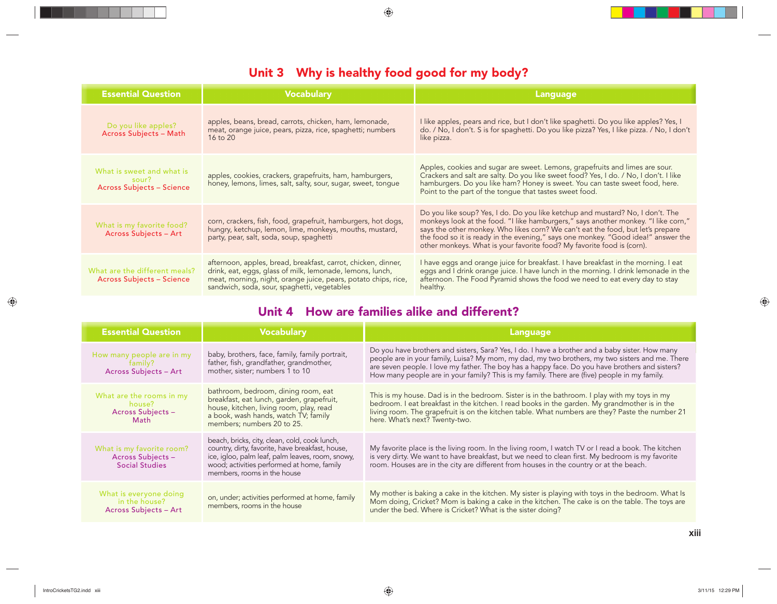#### **Unit 3 Why is healthy food good for my body?**

| <b>Essential Question</b>                                              | <b>Vocabulary</b>                                                                                                                                                                                                                           | Language                                                                                                                                                                                                                                                                                                                                                                                                               |
|------------------------------------------------------------------------|---------------------------------------------------------------------------------------------------------------------------------------------------------------------------------------------------------------------------------------------|------------------------------------------------------------------------------------------------------------------------------------------------------------------------------------------------------------------------------------------------------------------------------------------------------------------------------------------------------------------------------------------------------------------------|
| Do you like apples?<br>Across Subjects - Math                          | apples, beans, bread, carrots, chicken, ham, lemonade,<br>meat, orange juice, pears, pizza, rice, spaghetti; numbers<br>$16 \text{ to } 20$                                                                                                 | I like apples, pears and rice, but I don't like spaghetti. Do you like apples? Yes, I<br>do. / No, I don't. S is for spaghetti. Do you like pizza? Yes, I like pizza. / No, I don't<br>like pizza.                                                                                                                                                                                                                     |
| What is sweet and what is<br>sour?<br><b>Across Subjects - Science</b> | apples, cookies, crackers, grapefruits, ham, hamburgers,<br>honey, lemons, limes, salt, salty, sour, sugar, sweet, tongue                                                                                                                   | Apples, cookies and sugar are sweet. Lemons, grapefruits and limes are sour.<br>Crackers and salt are salty. Do you like sweet food? Yes, I do. / No, I don't. I like<br>hamburgers. Do you like ham? Honey is sweet. You can taste sweet food, here.<br>Point to the part of the tongue that tastes sweet food.                                                                                                       |
| What is my favorite food?<br>Across Subjects - Art                     | corn, crackers, fish, food, grapefruit, hamburgers, hot dogs,<br>hungry, ketchup, lemon, lime, monkeys, mouths, mustard,<br>party, pear, salt, soda, soup, spaghetti                                                                        | Do you like soup? Yes, I do. Do you like ketchup and mustard? No, I don't. The<br>monkeys look at the food. "I like hamburgers," says another monkey. "I like corn,"<br>says the other monkey. Who likes corn? We can't eat the food, but let's prepare<br>the food so it is ready in the evening," says one monkey. "Good idea!" answer the<br>other monkeys. What is your favorite food? My favorite food is (corn). |
| What are the different meals?<br><b>Across Subjects - Science</b>      | afternoon, apples, bread, breakfast, carrot, chicken, dinner,<br>drink, eat, eggs, glass of milk, lemonade, lemons, lunch,<br>meat, morning, night, orange juice, pears, potato chips, rice,<br>sandwich, soda, sour, spaghetti, vegetables | I have eggs and orange juice for breakfast. I have breakfast in the morning. I eat<br>eggs and I drink orange juice. I have lunch in the morning. I drink lemonade in the<br>afternoon. The Food Pyramid shows the food we need to eat every day to stay<br>healthy.                                                                                                                                                   |

#### **Unit 4 How are families alike and different?**

| <b>Essential Question</b>                                               | <b>Vocabulary</b>                                                                                                                                                                                                                  | Language                                                                                                                                                                                                                                                                                                                                                                                              |
|-------------------------------------------------------------------------|------------------------------------------------------------------------------------------------------------------------------------------------------------------------------------------------------------------------------------|-------------------------------------------------------------------------------------------------------------------------------------------------------------------------------------------------------------------------------------------------------------------------------------------------------------------------------------------------------------------------------------------------------|
| How many people are in my<br>family?<br>Across Subjects - Art           | baby, brothers, face, family, family portrait,<br>father, fish, grandfather, grandmother,<br>mother, sister; numbers 1 to 10                                                                                                       | Do you have brothers and sisters, Sara? Yes, I do. I have a brother and a baby sister. How many<br>people are in your family, Luisa? My mom, my dad, my two brothers, my two sisters and me. There<br>are seven people. I love my father. The boy has a happy face. Do you have brothers and sisters?<br>How many people are in your family? This is my family. There are (five) people in my family. |
| What are the rooms in my<br>house?<br>Across Subjects -<br>Math         | bathroom, bedroom, dining room, eat<br>breakfast, eat lunch, garden, grapefruit,<br>house, kitchen, living room, play, read<br>a book, wash hands, watch TV; family<br>members; numbers 20 to 25.                                  | This is my house. Dad is in the bedroom. Sister is in the bathroom. I play with my toys in my<br>bedroom. I eat breakfast in the kitchen. I read books in the garden. My grandmother is in the<br>living room. The grapefruit is on the kitchen table. What numbers are they? Paste the number 21<br>here. What's next? Twenty-two.                                                                   |
| What is my favorite room?<br>Across Subjects -<br><b>Social Studies</b> | beach, bricks, city, clean, cold, cook lunch,<br>country, dirty, favorite, have breakfast, house,<br>ice, igloo, palm leaf, palm leaves, room, snowy,<br>wood; activities performed at home, family<br>members, rooms in the house | My favorite place is the living room. In the living room, I watch TV or I read a book. The kitchen<br>is very dirty. We want to have breakfast, but we need to clean first. My bedroom is my favorite<br>room. Houses are in the city are different from houses in the country or at the beach.                                                                                                       |
| What is everyone doing<br>in the house?<br>Across Subjects - Art        | on, under; activities performed at home, family<br>members, rooms in the house                                                                                                                                                     | My mother is baking a cake in the kitchen. My sister is playing with toys in the bedroom. What Is<br>Mom doing, Cricket? Mom is baking a cake in the kitchen. The cake is on the table. The toys are<br>under the bed. Where is Cricket? What is the sister doing?                                                                                                                                    |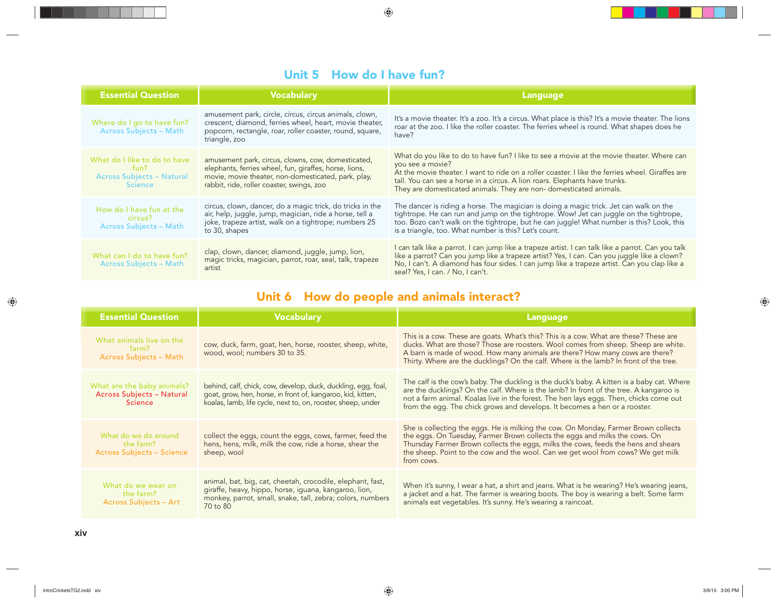#### **Unit 5 How do I have fun?**

| <b>Essential Question</b>                                                                  | <b>Vocabulary</b>                                                                                                                                                                                                | Language                                                                                                                                                                                                                                                                                                                                                              |
|--------------------------------------------------------------------------------------------|------------------------------------------------------------------------------------------------------------------------------------------------------------------------------------------------------------------|-----------------------------------------------------------------------------------------------------------------------------------------------------------------------------------------------------------------------------------------------------------------------------------------------------------------------------------------------------------------------|
| Where do I go to have fun?<br>Across Subjects - Math                                       | amusement park, circle, circus, circus animals, clown,<br>crescent, diamond, ferries wheel, heart, movie theater,<br>popcorn, rectangle, roar, roller coaster, round, square,<br>triangle, zoo                   | It's a movie theater. It's a zoo. It's a circus. What place is this? It's a movie theater. The lions<br>roar at the zoo. I like the roller coaster. The ferries wheel is round. What shapes does he<br>have?                                                                                                                                                          |
| What do I like to do to have<br>fun?<br><b>Across Subjects - Natural</b><br><b>Science</b> | amusement park, circus, clowns, cow, domesticated,<br>elephants, ferries wheel, fun, giraffes, horse, lions,<br>movie, movie theater, non-domesticated, park, play,<br>rabbit, ride, roller coaster, swings, zoo | What do you like to do to have fun? I like to see a movie at the movie theater. Where can<br>you see a movie?<br>At the movie theater. I want to ride on a roller coaster. I like the ferries wheel. Giraffes are<br>tall. You can see a horse in a circus. A lion roars. Elephants have trunks.<br>They are domesticated animals. They are non-domesticated animals. |
| How do I have fun at the<br>circus?<br><b>Across Subjects - Math</b>                       | circus, clown, dancer, do a magic trick, do tricks in the<br>air, help, juggle, jump, magician, ride a horse, tell a<br>joke, trapeze artist, walk on a tightrope; numbers 25<br>to 30, shapes                   | The dancer is riding a horse. The magician is doing a magic trick. Jet can walk on the<br>tightrope. He can run and jump on the tightrope. Wow! Jet can juggle on the tightrope,<br>too. Bozo can't walk on the tightrope, but he can juggle! What number is this? Look, this<br>is a triangle, too. What number is this? Let's count.                                |
| What can I do to have fun?<br>Across Subjects - Math                                       | clap, clown, dancer, diamond, juggle, jump, lion,<br>magic tricks, magician, parrot, roar, seal, talk, trapeze<br>artist                                                                                         | I can talk like a parrot. I can jump like a trapeze artist. I can talk like a parrot. Can you talk<br>like a parrot? Can you jump like a trapeze artist? Yes, I can. Can you juggle like a clown?<br>No, I can't. A diamond has four sides. I can jump like a trapeze artist. Can you clap like a<br>seal? Yes, I can. / No, I can't.                                 |

## **Unit 6 How do people and animals interact?**

| <b>Essential Question</b>                                                        | <b>Vocabulary</b>                                                                                                                                                                             | Language                                                                                                                                                                                                                                                                                                                                                     |
|----------------------------------------------------------------------------------|-----------------------------------------------------------------------------------------------------------------------------------------------------------------------------------------------|--------------------------------------------------------------------------------------------------------------------------------------------------------------------------------------------------------------------------------------------------------------------------------------------------------------------------------------------------------------|
| What animals live on the<br>farm?<br>Across Subjects - Math                      | cow, duck, farm, goat, hen, horse, rooster, sheep, white,<br>wood, wool; numbers 30 to 35.                                                                                                    | This is a cow. These are goats. What's this? This is a cow. What are these? These are<br>ducks. What are those? Those are roosters. Wool comes from sheep. Sheep are white.<br>A barn is made of wood. How many animals are there? How many cows are there?<br>Thirty. Where are the ducklings? On the calf. Where is the lamb? In front of the tree.        |
| What are the baby animals?<br><b>Across Subjects - Natural</b><br><b>Science</b> | behind, calf, chick, cow, develop, duck, duckling, egg, foal,<br>goat, grow, hen, horse, in front of, kangaroo, kid, kitten,<br>koalas, lamb, life cycle, next to, on, rooster, sheep, under  | The calf is the cow's baby. The duckling is the duck's baby. A kitten is a baby cat. Where<br>are the ducklings? On the calf. Where is the lamb? In front of the tree. A kangaroo is<br>not a farm animal. Koalas live in the forest. The hen lays eggs. Then, chicks come out<br>from the egg. The chick grows and develops. It becomes a hen or a rooster. |
| What do we do around<br>the farm?<br><b>Across Subjects - Science</b>            | collect the eggs, count the eggs, cows, farmer, feed the<br>hens, hens, milk, milk the cow, ride a horse, shear the<br>sheep, wool                                                            | She is collecting the eggs. He is milking the cow. On Monday, Farmer Brown collects<br>the eggs. On Tuesday, Farmer Brown collects the eggs and milks the cows. On<br>Thursday Farmer Brown collects the eggs, milks the cows, feeds the hens and shears<br>the sheep. Point to the cow and the wool. Can we get wool from cows? We get milk<br>from cows.   |
| What do we wear on<br>the farm?<br>Across Subjects - Art                         | animal, bat, big, cat, cheetah, crocodile, elephant, fast,<br>giraffe, heavy, hippo, horse, iguana, kangaroo, lion,<br>monkey, parrot, small, snake, tall, zebra; colors, numbers<br>70 to 80 | When it's sunny, I wear a hat, a shirt and jeans. What is he wearing? He's wearing jeans,<br>a jacket and a hat. The farmer is wearing boots. The boy is wearing a belt. Some farm<br>animals eat vegetables. It's sunny. He's wearing a raincoat.                                                                                                           |